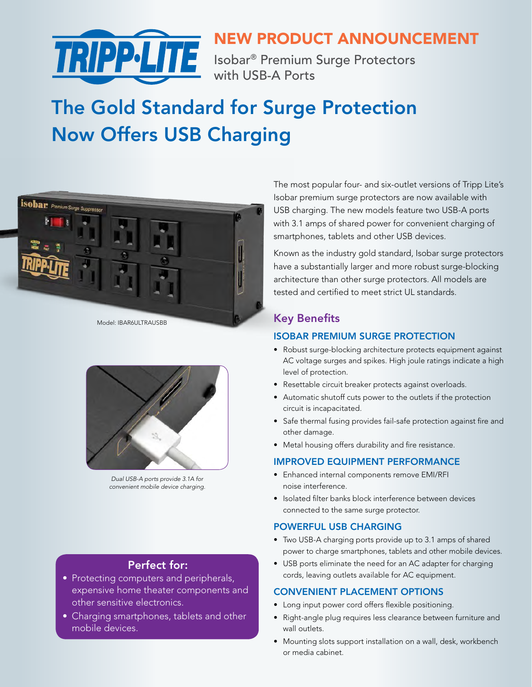

# NEW PRODUCT ANNOUNCEMENT

with USB-A Ports

# The Gold Standard for Surge Protection Now Offers USB Charging



Model: IBAR6ULTRAUSBB



*Dual USB-A ports provide 3.1A for convenient mobile device charging.*

#### Perfect for:

- Protecting computers and peripherals, expensive home theater components and other sensitive electronics.
- Charging smartphones, tablets and other mobile devices.

The most popular four- and six-outlet versions of Tripp Lite's Isobar premium surge protectors are now available with USB charging. The new models feature two USB-A ports with 3.1 amps of shared power for convenient charging of smartphones, tablets and other USB devices.

Known as the industry gold standard, Isobar surge protectors have a substantially larger and more robust surge-blocking architecture than other surge protectors. All models are tested and certified to meet strict UL standards.

### Key Benefits

#### ISOBAR PREMIUM SURGE PROTECTION

- Robust surge-blocking architecture protects equipment against AC voltage surges and spikes. High joule ratings indicate a high level of protection.
- Resettable circuit breaker protects against overloads.
- Automatic shutoff cuts power to the outlets if the protection circuit is incapacitated.
- Safe thermal fusing provides fail-safe protection against fire and other damage.
- Metal housing offers durability and fire resistance.

#### IMPROVED EQUIPMENT PERFORMANCE

- Enhanced internal components remove EMI/RFI noise interference.
- Isolated filter banks block interference between devices connected to the same surge protector.

#### POWERFUL USB CHARGING

- Two USB-A charging ports provide up to 3.1 amps of shared power to charge smartphones, tablets and other mobile devices.
- USB ports eliminate the need for an AC adapter for charging cords, leaving outlets available for AC equipment.

#### CONVENIENT PLACEMENT OPTIONS

- Long input power cord offers flexible positioning.
- Right-angle plug requires less clearance between furniture and wall outlets.
- Mounting slots support installation on a wall, desk, workbench or media cabinet.